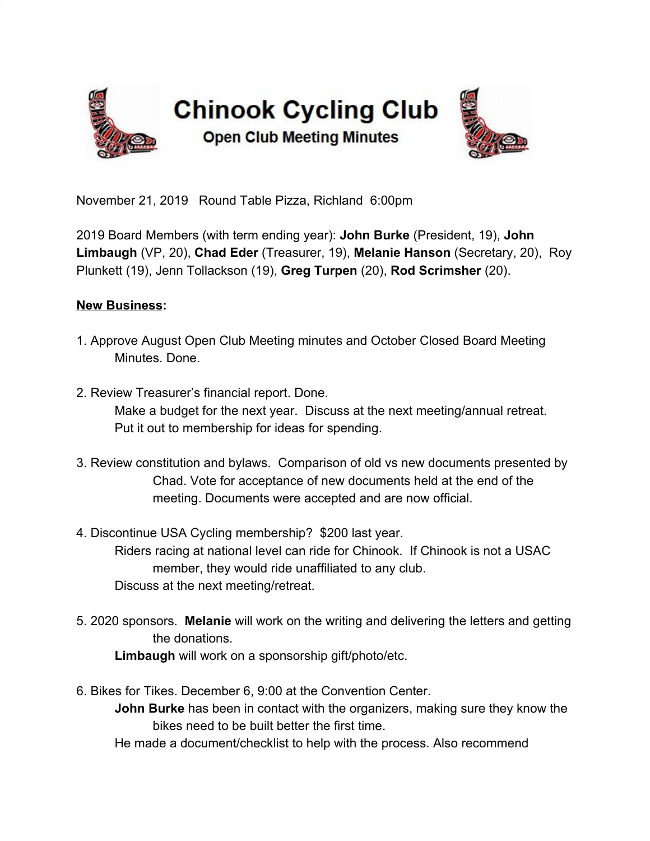



November 21, 2019 Round Table Pizza, Richland 6:00pm

2019 Board Members (with term ending year): **John Burke** (President, 19), **John Limbaugh** (VP, 20), **Chad Eder** (Treasurer, 19), **Melanie Hanson** (Secretary, 20), Roy Plunkett (19), Jenn Tollackson (19), **Greg Turpen** (20), **Rod Scrimsher** (20).

## **New Business:**

- 1. Approve August Open Club Meeting minutes and October Closed Board Meeting Minutes. Done.
- 2. Review Treasurer's financial report. Done. Make a budget for the next year. Discuss at the next meeting/annual retreat. Put it out to membership for ideas for spending.
- 3. Review constitution and bylaws. Comparison of old vs new documents presented by Chad. Vote for acceptance of new documents held at the end of the meeting. Documents were accepted and are now official.
- 4. Discontinue USA Cycling membership? \$200 last year. Riders racing at national level can ride for Chinook. If Chinook is not a USAC member, they would ride unaffiliated to any club. Discuss at the next meeting/retreat.
- 5. 2020 sponsors. **Melanie** will work on the writing and delivering the letters and getting the donations.

**Limbaugh** will work on a sponsorship gift/photo/etc.

6. Bikes for Tikes. December 6, 9:00 at the Convention Center. **John Burke** has been in contact with the organizers, making sure they know the bikes need to be built better the first time. He made a document/checklist to help with the process. Also recommend